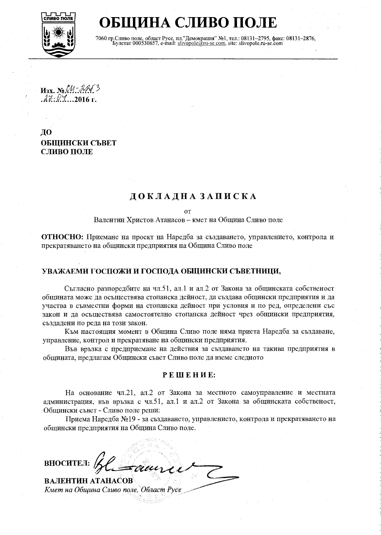

**БЩИНА СЛИВО ПОЛЕ** 

7060 гр. Сливо поле, област Русе, пл."Демокрация" №1, тел.: 08131-2795, факс: 08131-2876, Булстат 000530657, e-mail: slivopole@ru-se.com, site: slivopole.ru-se.com

 $M_3x$ .  $N_2$   $M_3$   $M_4$ .<br> $M_4$   $M_4$   $M_4$   $M_5$ 

ДО ОБШИНСКИ СЪВЕТ СЛИВО ПОЛЕ

# ДОКЛАДНА ЗАПИСКА

**OT** 

Валентин Христов Атанасов - кмет на Община Сливо поле

ОТНОСНО: Приемане на проект на Наредба за създаването, управлението, контрола и прекратяването на общински предприятия на Община Сливо поле

### УВАЖАЕМИ ГОСПОЖИ И ГОСПОДА ОБЩИНСКИ СЪВЕТНИЦИ,

Съгласно разпоредбите на чл.51, ал.1 и ал.2 от Закона за общинската собственост общината може да осъществява стопанска дейност, да създава общински предприятия и да участва в съвместни форми на стопанска дейност при условия и по ред, определени със закон и да осъществява самостоятелно стопанска дейност чрез общински предприятия, създадени по реда на този закон.

Към настоящия момент в Община Сливо поле няма приета Наредба за създаване, управление, контрол и прекратяване на общински предприятия.

Във връзка с предприемане на действия за създаването на такива предприятия в общината, предлагам Общински съвет Сливо поле да вземе следното

#### РЕШЕНИЕ:

На основание чл.21, ал.2 от Закона за местното самоуправление и местната администрация, във връзка с чл.51, ал.1 и ал.2 от Закона за общинската собственост, Общински съвет - Сливо поле реши:

Приема Наредба №19 - за създаването, управлението, контрола и прекратяването на общински предприятия на Община Сливо поле.

ВНОСИТЕЛ: ВАЛЕНТИН АТАНАСОВ

Кмет на Община Сливо поле, Област Русе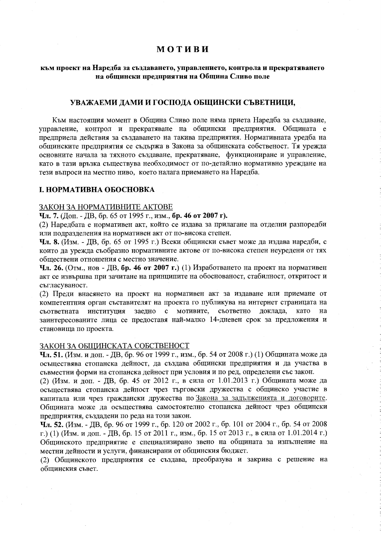### **МОТИВИ**

#### към проект на Наредба за създаването, управлението, контрола и прекратяването на общински предприятия на Община Сливо поле

#### УВАЖАЕМИ ДАМИ И ГОСПОДА ОБЩИНСКИ СЪВЕТНИЦИ,

Към настоящия момент в Община Сливо поле няма приета Наредба за създаване, управление, контрол и прекратяване на общински предприятия. Общината е предприела действия за създаването на такива предприятия. Нормативната уредба на общинските предприятия се съдържа в Закона за общинската собственост. Тя урежда основните начала за тяхното създаване, прекратяване, функциониране и управление, като в тази връзка съществува необходимост от по-детайлно нормативно уреждане на тези въпроси на местно ниво, което налага приемането на Наредба.

#### **I. НОРМАТИВНА ОБОСНОВКА**

#### ЗАКОН ЗА НОРМАТИВНИТЕ АКТОВЕ

Чл. 7. (Доп. - ДВ, бр. 65 от 1995 г., изм., бр. 46 от 2007 г).

(2) Наредбата е нормативен акт, който се издава за прилагане на отделни разпоредби или подразделения на нормативен акт от по-висока степен.

**Чл. 8.** (Изм. - ДВ, бр. 65 от 1995 г.) Всеки общински съвет може да издава наредби, с които да урежда съобразно нормативните актове от по-висока степен неуредени от тях обшествени отношения с местно значение.

Чл. 26. (Отм., нов - ДВ, бр. 46 от 2007 г.) (1) Изработването на проект на нормативен акт се извършва при зачитане на принципите на обоснованост, стабилност, откритост и съгласуваност.

(2) Преди внасянето на проект на нормативен акт за издаване или приемане от компетентния орган съставителят на проекта го публикува на интернет страницата на заедно с мотивите, съответно доклада, съответната институция като на заинтересованите лица се предоставя най-малко 14-дневен срок за предложения и становища по проекта.

#### ЗАКОН ЗА ОБЩИНСКАТА СОБСТВЕНОСТ

Чл. 51. (Изм. и доп. - ДВ, бр. 96 от 1999 г., изм., бр. 54 от 2008 г.) (1) Общината може да осъществява стопанска дейност, да създава общински предприятия и да участва в съвместни форми на стопанска дейност при условия и по ред, определени със закон.

(2) (Изм. и доп. - ДВ, бр. 45 от 2012 г., в сила от 1.01.2013 г.) Общината може да осъществява стопанска дейност чрез търговски дружества с общинско участие в капитала или чрез граждански дружества по Закона за задълженията и договорите. Общината може да осъществява самостоятелно стопанска дейност чрез общински предприятия, създадени по реда на този закон.

Чл. 52. (Изм. - ДВ, бр. 96 от 1999 г., бр. 120 от 2002 г., бр. 101 от 2004 г., бр. 54 от 2008 г.) (1) (Изм. и доп. - ДВ, бр. 15 от 2011 г., изм., бр. 15 от 2013 г., в сила от 1.01.2014 г.) Общинското предприятие е специализирано звено на общината за изпълнение на местни дейности и услуги, финансирани от общинския бюджет.

(2) Общинското предприятия се създава, преобразува и закрива с решение на общинския съвет.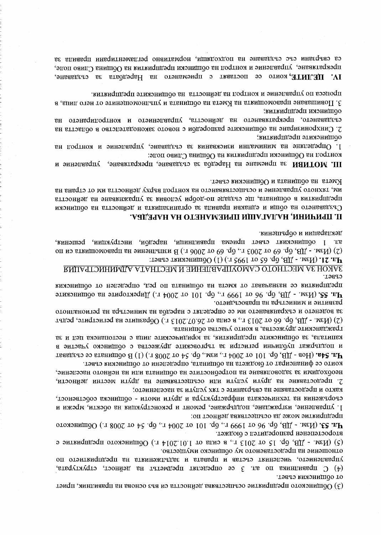(3) Общинското предприятие осъществява дейността си въз основа на правилник, приет

управлението, численият състав и влязата и задълженията на предприятието по (4) С правилника по ал. 3 се определят предметът на дейност, структурата,

предприятие може да осыцествява дейност по: чл. 53. (Изм. - ДВ, бр. 96 от 1999 г., бр. 101 от 2004 г., бр. 54 от 2008 г.) Общинското второстепенен разпоредител с бюджет. (5) (Изм. - ДВ, бр. 15 от 2013 г., в сила от 1.01.2014 г.) Общинското предприятие е

отношение на предоставеното му общинско имущество.

от общинския свеет.

2. предоставяне на други услуги или осъществяване на други местни дейности, както и предоставяне на свързаните с тях услуги за населението; сгобрежения ня дехнинскяда инфрасдумдыми и пради и моди - оспинскя соселевеност. 1. управление, изграждане, поддържане, ремонт и реконструкция на обекти, мрежи и

необходими за задоволаване на потребностите на общината или на неднопо население,

и поддържал плодини од надложите дели примества с общинско участие в **Чл. 54а.** (Нов - ДВ, бр. 101 ог 2004 г., изм., бр. 54 ог 2008 г.) (1) В общината се създават които се финансират от бюджета на общината, определени от общинския съвет.

(2) (Изм. - ДВ, бр. 66 от 2013 г., в сила от 26.07.2013 г.) Образците на регистрите, редът гражданските дружества, в които участва общината. капитала, за общинските предприятия, за юридическите лица с нестопанска цел и за

предприятия се назначават от кмета на общината по ред, определен от общинския Чл. 55. (Изм. - ДВ, бр. 96 от 1999 г., бр. 101 от 2004 г.) Директорите на общинските развитие и министъра на правосъдието. за воденето и съхраняването им се определа о типода на министъра на регионалното

ЗАКОН ЗА МЕСТНОТО САМОУПРАВЛЕНИЕ И МЕСТНАГА АДМИНИСТРАЦИЯ CPB<sub>6</sub>T.

декларации и обръщения. ал. 1 общинският съвет приема правилници, наредби, инструкции, решения, (2) (Изм. - ДВ, бр. 69 от 2003 г., бр. 69 от 2006 г.) В изпълнение на правомощията си по **Чл. 21.** (Изм. - ДВ, бр. 65 от 1995 г.) (1) Общинският съвет:

### П. ПРИЧИНИ, НАЛАГАЦИ ПРИЕМАНЕТО НА НАРЕДБА.

Кмета на общината и Общинския съвет. им, тяхного управление и осъществяването на контрол върху дейността им от страна на предприятия в общината, ще създаде по-добри условия за упражнаване на дейността Създаването на общи и едиакви правила за организацията и дейността на общински

контрол на Обцински предприятия на Община Сливо поле: III. МОТИВИ за приемане на Наредба за създаване, прекратяване, управление и

общинскиге предприятия: 1. Определяне на минимини изисквания за създаване, управление и контрол на

оопински преппринини: създаването, прекратяването на дейността, управлението и контролирането на 2. Синхронизиране на общинските разпоредби с нового законодателето в областта на

процеса по управление и контрол на дейността на общинските предприятия. 3. Повишаване правомощимъ на Кмета на общината и упълномощените от него лица, в

са свързяни със създаване на подходащи, нормативно регламентнонни правила за прекратяване, управление и контрол на общински предприятия на Община Сливо поле, IV. IIEJINIE, които се поставят с приемането на Наредбата за създаване,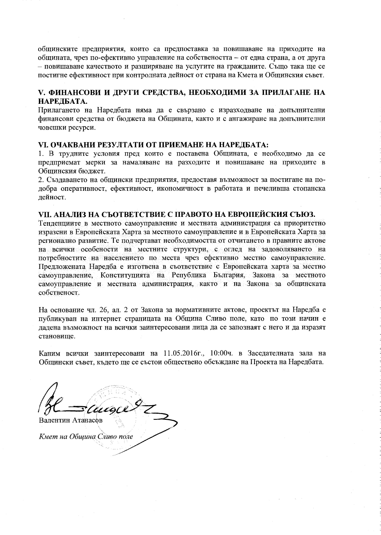общинските предприятия, които са предпоставка за повишаване на приходите на общината, чрез по-ефективно управление на собствеността - от една страна, а от друга - повишаване качеството и разширяване на услугите на гражданите. Също така ще се постигне ефективност при контролната дейност от страна на Кмета и Общинския съвет.

### V. ФИНАНСОВИ И ДРУГИ СРЕДСТВА, НЕОБХОДИМИ ЗА ПРИЛАГАНЕ НА НАРЕДБАТА.

Прилагането на Наредбата няма да е свързано с изразходване на допълнителни финансови средства от бюджета на Общината, както и с ангажиране на допълнителни човешки ресурси.

#### VI. ОЧАКВАНИ РЕЗУЛТАТИ ОТ ПРИЕМАНЕ НА НАРЕДБАТА:

1. В трудните условия пред които е поставена Общината, е необходимо да се прелприемат мерки за намаляване на разходите и повишаване на приходите в Общинския бюджет.

2. Създаването на общински предприятия, предоставя възможност за постигане на подобра оперативност, ефективност, икономичност в работата и печеливша стопанска лейност.

### VII. АНАЛИЗ НА СЪОТВЕТСТВИЕ С ПРАВОТО НА ЕВРОПЕЙСКИЯ СЪЮЗ.

Тенденциите в местното самоуправление и местната администрация са приоритетно изразени в Европейската Харта за местното самоуправление и в Европейската Харта за регионално развитие. Те подчертават необходимостта от отчитането в правните актове на всички особености на местните структури, с оглед на задоволяването на потребностите на населението по места чрез ефективно местно самоуправление. Предложената Наредба е изготвена в съответствие с Европейската харта за местно самоуправление, Конституцията на Република България, Закона за местното самоуправление и местната администрация, както и на Закона за общинската собственост.

На основание чл. 26, ал. 2 от Закона за нормативните актове, проектът на Наредба е публикуван на интернет страницата на Община Сливо поле, като по този начин е дадена възможност на всички заинтересовани лица да се запознаят с него и да изразят становише.

Каним всички заинтересовани на 11.05.2016г., 10:00ч. в Заседателната зала на Общински съвет, където ще се състои обществено обсъждане на Проекта на Наредбата.

Валентин Атанасов

Кмет на Община Сливо поле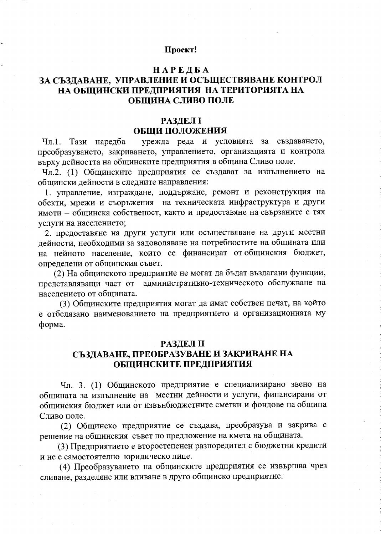#### Проект!

### **НАРЕДБА**

# ЗА СЪЗДАВАНЕ, УПРАВЛЕНИЕ И ОСЪЩЕСТВЯВАНЕ КОНТРОЛ НА ОБЩИНСКИ ПРЕДПРИЯТИЯ НА ТЕРИТОРИЯТА НА ОБШИНА СЛИВО ПОЛЕ

# **РАЗДЕЛ I** ОБЩИ ПОЛОЖЕНИЯ

Чл.1. Тази наредба урежда реда и условията за създаването, преобразуването, закриването, управлението, организацията и контрола върху дейността на общинските предприятия в община Сливо поле.

Чл.2. (1) Общинските предприятия се създават за изпълнението на общински дейности в следните направления:

1. управление, изграждане, поддържане, ремонт и реконструкция на обекти, мрежи и съоръжения на техническата инфраструктура и други имоти - общинска собственост, както и предоставяне на свързаните с тях услуги на населението:

2. предоставяне на други услуги или осъществяване на други местни дейности, необходими за задоволяване на потребностите на общината или на нейното население, които се финансират от общинския бюджет, определени от общинския съвет.

(2) На общинското предприятие не могат да бъдат възлагани функции, представляващи част от административно-техническото обслужване на населението от общината.

(3) Общинските предприятия могат да имат собствен печат, на който е отбелязано наименованието на предприятието и организационната му форма.

#### **РАЗДЕЛ II**

# СЪЗДАВАНЕ, ПРЕОБРАЗУВАНЕ И ЗАКРИВАНЕ НА ОБЩИНСКИТЕ ПРЕДПРИЯТИЯ

Чл. 3. (1) Общинското предприятие е специализирано звено на общината за изпълнение на местни дейности и услуги, финансирани от общинския бюджет или от извънбюджетните сметки и фондове на община Сливо поле.

(2) Общинско предприятие се създава, преобразува и закрива с решение на общинския съвет по предложение на кмета на общината.

(3) Предприятието е второстепенен разпоредител с бюджетни кредити и не е самостоятелно юридическо лице.

(4) Преобразуването на общинските предприятия се извършва чрез сливане, разделяне или вливане в друго общинско предприятие.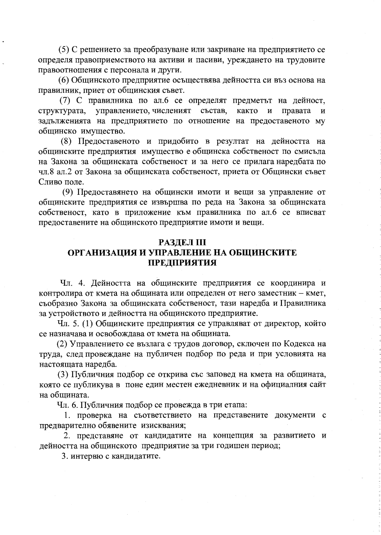(5) С решението за преобразуване или закриване на предприятието се определя правоприемството на активи и пасиви, уреждането на трудовите правоотношения с персонала и други.

(6) Общинското предприятие осъществява дейността си въз основа на правилник, приет от общинския съвет.

(7) С правилника по ал.6 се определят предметът на дейност, структурата, управлението, численият състав, както и правата задълженията на предприятието по отношение на предоставеното му общинско имущество.

(8) Предоставеното и придобито в резултат на дейността на общинските предприятия имущество е общинска собственост по смисъла на Закона за общинската собственост и за него се прилага наредбата по чл.8 ал.2 от Закона за общинската собственост, приета от Общински съвет Сливо поле.

(9) Предоставянето на общински имоти и вещи за управление от общинските предприятия се извършва по реда на Закона за общинската собственост, като в приложение към правилника по ал.6 се вписват предоставените на общинското предприятие имоти и вещи.

#### **РАЗДЕЛ III**

# ОРГАНИЗАЦИЯ И УПРАВЛЕНИЕ НА ОБЩИНСКИТЕ **ПРЕДПРИЯТИЯ**

Чл. 4. Дейността на общинските предприятия се координира и контролира от кмета на общината или определен от него заместник - кмет, съобразно Закона за общинската собственост, тази наредба и Правилника за устройството и дейността на общинското предприятие.

Чл. 5. (1) Общинските предприятия се управляват от директор, който се назначава и освобождава от кмета на общината.

(2) Управлението се възлага с трудов договор, сключен по Кодекса на труда, след провеждане на публичен подбор по реда и при условията на настоящата наредба.

(3) Публичния подбор се открива със заповед на кмета на общината, която се публикува в поне един местен ежедневник и на официалния сайт на общината.

Чл. 6. Публичния подбор се провежда в три етапа:

1. проверка на съответствието на представените документи с предварително обявените изисквания;

2. представяне от кандидатите на концепция за развитието и дейността на общинското предприятие за три годишен период;

3. интервю с кандидатите.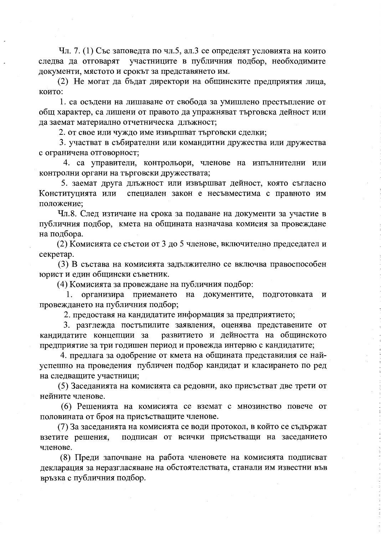Чл. 7. (1) Със заповедта по чл.5, ал.3 се определят условията на които участниците в публичния подбор, необходимите следва да отговарят документи, мястото и срокът за представянето им.

(2) Не могат да бъдат директори на общинските предприятия лица, които:

1. са осъдени на лишаване от свобода за умишлено престъпление от общ характер, са лишени от правото да упражняват търговска дейност или да заемат материално отчетническа длъжност;

2. от свое или чуждо име извършват търговски сделки;

3. участват в събирателни или командитни дружества или дружества с ограничена отговорност;

4. са управители, контрольори, членове на изпълнителни или контролни органи на търговски дружествата;

5. заемат друга длъжност или извършват дейност, която съгласно специален закон е несъвместима с правното им Конституцията или положение;

Чл.8. След изтичане на срока за подаване на документи за участие в публичния подбор, кмета на общината назначава комисия за провеждане на подбора.

(2) Комисията се състои от 3 до 5 членове, включително председател и секретар.

(3) В състава на комисията задължително се включва правоспособен юрист и един общински съветник.

(4) Комисията за провеждане на публичния подбор:

1. организира приемането на документите, подготовката  $\mathbf{M}$ провеждането на публичния подбор;

2. предоставя на кандидатите информация за предприятието;

3. разглежда постъпилите заявления, оценява представените от кандидатите концепции за развитието и дейността на общинското предприятие за три годишен период и провежда интервю с кандидатите;

4. предлага за одобрение от кмета на общината представилия се найуспешно на проведения публичен подбор кандидат и класирането по ред на следващите участници;

(5) Заседанията на комисията са редовни, ако присъстват две трети от нейните членове.

(6) Решенията на комисията се вземат с мнозинство повече от половината от броя на присъстващите членове.

(7) За заседанията на комисията се води протокол, в който се съдържат подписан от всички присъстващи на заседанието взетите решения, членове.

(8) Преди започване на работа членовете на комисията подписват декларация за неразгласяване на обстоятелствата, станали им известни във връзка с публичния подбор.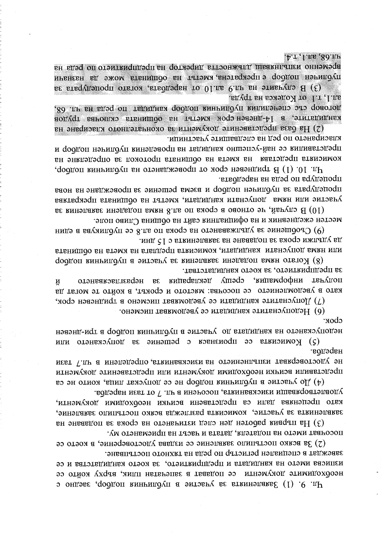изингева името на кандидата и предприятието, за което кандидатства и се неофиодимите документи се подават в запечатан плик, върху който се чи. 9. (1) Завленията за участие в публичния подбор, заедно с

лосонвизифи внизие и влаги, датата и часът на приемането му. (2) За всяко постыпило заявление се издвав удостоверение, в което се завеждат в специален регистър по реда на тяхното постъпване.

кяло препенава пали са препславени вемики неорхопими поклинити. заявленията за участие, комисията разглежда всяко постъпило заявление, (3) На първия работен деп след изтичането на срока за подаване на

не удостоверяват изпълнението на изискванията, определени в чл. 7 тази представили всичны необходими документи или представените документи (4) До участие в публичния подбор не се допускат лица, които не са удовлетворяващи изискванията, посочени в чл. 7 от тази наредба.

недопускането на кандидата до участие в публичния подбор в три-дневен (5) Комисията се произнася с решение за допускането или наредба.

(6) Недопуснатите кандидати се уведомяват писмено. срок.

(7) Допуснатите кандидати се уведомяват писмено в тридневен срок,

за предприятието, за което кандидатстват. , кипьмоофни твгупоп срещу декларация за неразгласяването  $\bar{\mathbf{N}}$ като в уведомлението се посочва: мястото и срокът, в който те могат да

да удължи срока за подаване на заявленията с 15 дни. или нама допуснати кандидати, комисията предлага на кмета на общината формоп киничидущ в эмтэвич за участие в публиния подбор

местен ежедневник и на официалния сайт на община Сливо поле. (9) Съобщение за удължаването на срока по ал. 8 се публикува в един

процедура по реда на наредбата. пропетивля за плодинен подбор и взема решение за провеждане на нова участие или няма допуснати кандидати, кметът на общината прекратява (10) В случай, че отново в срока по ал.8 няма подадени заявления за

класирането по ред на следващите участници. представилия се най-успешно кандидат на проведения публичен подбор и комисията представа на кмета на общината протокол за определяют на чи. 10. (1) В тридневен срок от провеждането на публичния подбор,

ал. 1, т. 1 от Кодекса на труда. договор със спеченици публичния подбор кандилат по реде на чл. 68, кандидатис, в 14-дневен срок кметът на общината сключва трудов (2) На база представените документи за окончателното класиране на

публичен подбор е прекрагена, кметът на общината може да назначи (3) В случаите на чл.9 ал.10 от наредоата, когато процедурата за

.А.т. . Г. п.б. . 80. п.н временно изпълняващ длъжността директор на предприятието по реда на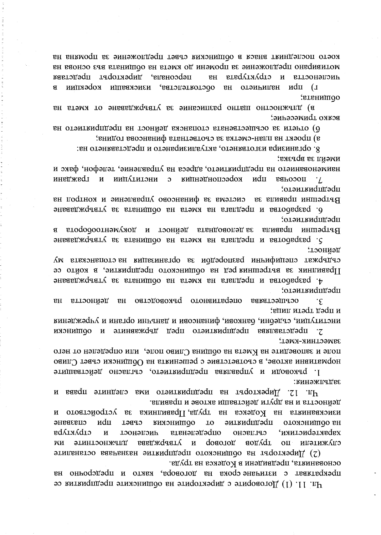основанията, предвидени в Кодекса на труда. прекратяват с изтичане срока на договора, както и предсрочно на Чл. 11. (1) Договорите с директорите на общинските предприятия се

изискванията на Кодекса на тууда, Правилника за устройството и спазване иdи **ВИМОНИПОО** эмткиqпдэqп оломиницоо ен CPB6L **LO** структура определената срыязсно карактеристики,  $\overline{M}$ лонәизин утвруждава доволод аодудт  $\overline{\text{OH}}$ ипэтижүпэ WИ ЭТНИТОСТНИТЕ  $\overline{\mathbf{M}}$ (2) Директорът на общинското предприятие назначава останалите

задължения: Директорът на предприятието има следните права  $771$  Th И дейността и на други действащи актове и правила.

нормативни актове, в съответствие с решенията на Общински съвет Сливо 1. ръководи и управлява предприятието, съгласно действащите

представлява предприятието пред държавните и общински  $\cdot$ 7 зяиестник-кмет; поле и заповедите на Кмета на община Сливо поле, или определен от него

и пред трети лица; институции, съдебни, банкови, финансови и данъчни органия и учреждения

отэмткиqпдэqп; онеративното ръководство ос. РПІ бельнив **BH** денността  $E$ H  $\cdot \epsilon$ 

ленност; срудне специфинны разпоредби за организация на стопанската му 1 Гравилник за вътрешния ред на общинското предприятира на който се 4. разработва и предлага на кмета на общината за утвърждаване

отэмткидидэqп; за деловодната дейност и документооборота впиавоп иншэстье  $\mathbf{B}$ энвавдждавату автомата на кмета на общината за утвърждаване

отэмткифидэфп; Вътрешни правила за система за финансово управление и контрол на о разработва и предлага на кмета на общината за утвърждаване

имеии за връзка: нэименованието на предприятието, адреса на управление, телефон, факс и кореспонденция с институции и граждани иdп еньозоп  $\mathcal{L}$ 

х. организира изготвянето, актуализирането и представянето на:

з) проект на план-сметка за срответната финансова година;

о отчети за осъществената стопанска деиност на предприятието на

оопината; в) длежностно шатно разписание за утвърждаване от кмета на всяко дримесение:

което последният внася в общинския свет предложение за промяна на мотивирано предложение за промени до кмета на общината въз основа на директорът представя персонала, структурата и етгостта и BH еятопеткотооо, изисквэпи корекции г) цри  $\overline{B}$ **BH** отэмникн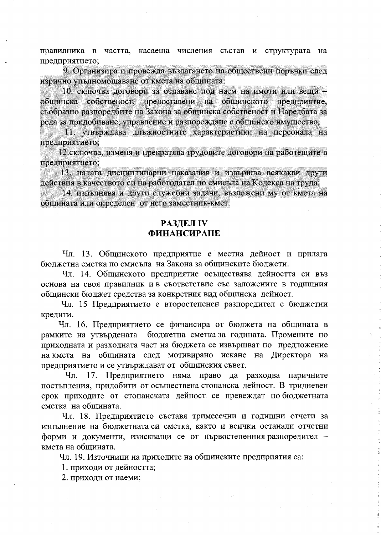правилника в частта, касаеща числения състав и структурата на предприятието;

9. Организира и провежда възлагането на обществени поръчки след изрично упълномощаване от кмета на общината:

10. сключва договори за отдаване под наем на имоти или вещи общинска собственост, предоставени на общинското предприятие, съобразно разпоредбите на Закона за общинска собственост и Наредбата за реда за придобиване, управление и разпореждане с общинско имущество;

11. утвърждава длъжностните характеристики на персонала на предприятието:

12. сключва, изменя и прекратява трудовите договори на работещите в предприятието:

13. налага дисциплинарни наказания и извършва всякакви други действия в качеството си на работодател по смисъла на Кодекса на труда;

14. изпълнява и други служебни задачи, възложени му от кмета на общината или определен от него заместник-кмет.

## **РАЗДЕЛ IV ФИНАНСИРАНЕ**

Чл. 13. Общинското предприятие е местна дейност и прилага бюджетна сметка по смисъла на Закона за общинските бюджети.

Чл. 14. Общинското предприятие осъществява дейността си въз основа на своя правилник и в съответствие със заложените в годищния общински бюджет средства за конкретния вид общинска дейност.

Чл. 15 Предприятието е второстепенен разпоредител с бюджетни кредити.

Чл. 16. Предприятието се финансира от бюджета на общината в бюджетна сметка за годината. Промените по рамките на утвърдената приходната и разходната част на бюджета се извършват по предложение на кмета на общината след мотивирано искане на Директора на предприятието и се утвърждават от общинския съвет.

Чл. 17. Предприятието няма право да разходва паричните постъпления, придобити от осъществена стопанска дейност. В тридневен срок приходите от стопанската дейност се превеждат по бюджетната сметка на общината.

Чл. 18. Предприятието съставя тримесечни и годишни отчети за изпълнение на бюджетната си сметка, както и всички останали отчетни форми и документи, изискващи се от първостепенния разпоредител кмета на общината.

Чл. 19. Източници на приходите на общинските предприятия са:

1. приходи от дейността;

2. приходи от наеми;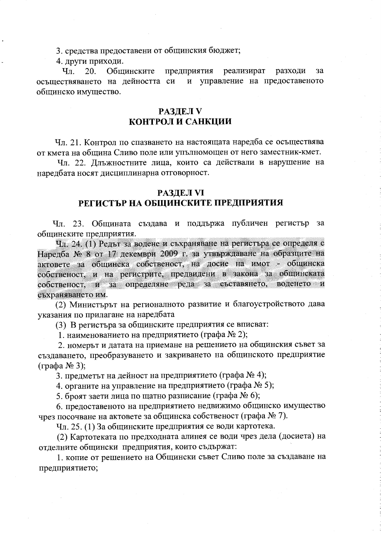3. средства предоставени от общинския бюджет;

4. други приходи.

Чл. 20. Общинските предприятия реализират разходи за и управление на предоставеното осъществяването на дейността си общинско имущество.

### **РАЗДЕЛ V** КОНТРОЛ И САНКЦИИ

Чл. 21. Контрол по спазването на настоящата наредба се осъществява от кмета на община Сливо поле или упълномощен от него заместник-кмет.

Чл. 22. Длъжностните лица, които са действали в нарушение на наредбата носят дисциплинарна отговорност.

### РАЗДЕЛ VI

# РЕГИСТЪР НА ОБЩИНСКИТЕ ПРЕДПРИЯТИЯ

Чл. 23. Общината създава и поддържа публичен регистър за общинските предприятия.

Чл. 24. (1) Редът за водене и съхраняване на регистъра се определя с Наредба № 8 от 17 декември 2009 г. за утвърждаване на образците на актовете за общинска собственост, на досие на имот - общинска собственост, и на регистрите, предвидени в закона за общинската собственост, и за определяне реда за съставянето, воденето и съхраняването им.

(2) Министърът на регионалното развитие и благоустройството дава указания по прилагане на наредбата

(3) В регистъра за общинските предприятия се вписват:

1. наименованието на предприятието (графа № 2);

2. номерът и датата на приемане на решението на общинския съвет за създаването, преобразуването и закриването на общинското предприятие (графа № 3);

3. предметът на дейност на предприятието (графа № 4);

4. органите на управление на предприятието (графа № 5);

5. броят заети лица по щатно разписание (графа № 6);

6. предоставеното на предприятието недвижимо общинско имущество чрез посочване на актовете за общинска собственост (графа № 7).

Чл. 25. (1) За общинските предприятия се води картотека.

(2) Картотеката по предходната алинея се води чрез дела (досиета) на отделните общински предприятия, които съдържат:

1. копие от решението на Общински съвет Сливо поле за създаване на предприятието;